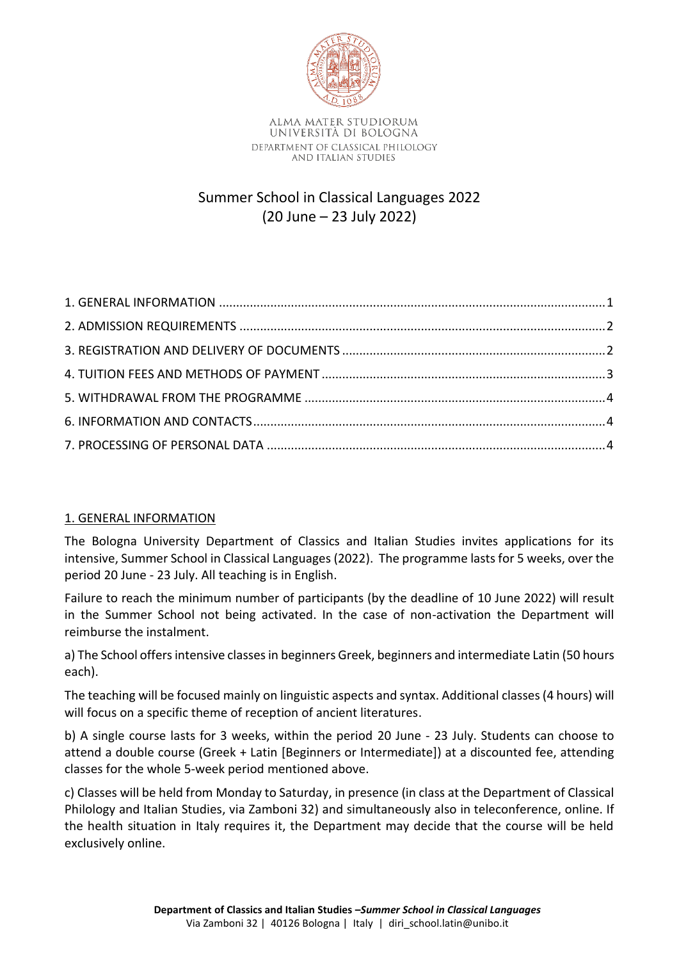

Summer School in Classical Languages 2022 (20 June – 23 July 2022)

# <span id="page-0-0"></span>1. GENERAL INFORMATION

The Bologna University Department of Classics and Italian Studies invites applications for its intensive, Summer School in Classical Languages (2022). The programme lasts for 5 weeks, over the period 20 June - 23 July. All teaching is in English.

Failure to reach the minimum number of participants (by the deadline of 10 June 2022) will result in the Summer School not being activated. In the case of non-activation the Department will reimburse the instalment.

a) The School offers intensive classes in beginners Greek, beginners and intermediate Latin (50 hours each).

The teaching will be focused mainly on linguistic aspects and syntax. Additional classes (4 hours) will will focus on a specific theme of reception of ancient literatures.

b) A single course lasts for 3 weeks, within the period 20 June - 23 July. Students can choose to attend a double course (Greek + Latin [Beginners or Intermediate]) at a discounted fee, attending classes for the whole 5-week period mentioned above.

c) Classes will be held from Monday to Saturday, in presence (in class at the Department of Classical Philology and Italian Studies, via Zamboni 32) and simultaneously also in teleconference, online. If the health situation in Italy requires it, the Department may decide that the course will be held exclusively online.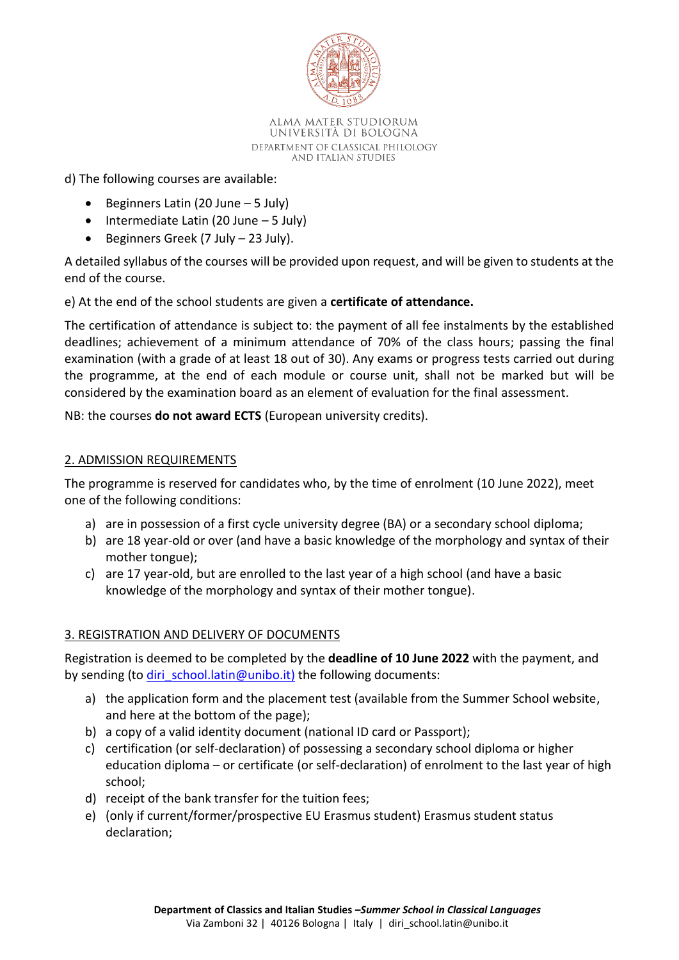

d) The following courses are available:

- Beginners Latin (20 June 5 July)
- Intermediate Latin (20 June 5 July)
- Beginners Greek (7 July 23 July).

A detailed syllabus of the courses will be provided upon request, and will be given to students at the end of the course.

e) At the end of the school students are given a **certificate of attendance.**

The certification of attendance is subject to: the payment of all fee instalments by the established deadlines; achievement of a minimum attendance of 70% of the class hours; passing the final examination (with a grade of at least 18 out of 30). Any exams or progress tests carried out during the programme, at the end of each module or course unit, shall not be marked but will be considered by the examination board as an element of evaluation for the final assessment.

<span id="page-1-0"></span>NB: the courses **do not award ECTS** (European university credits).

## 2. ADMISSION REQUIREMENTS

The programme is reserved for candidates who, by the time of enrolment (10 June 2022), meet one of the following conditions:

- a) are in possession of a first cycle university degree (BA) or a secondary school diploma;
- b) are 18 year-old or over (and have a basic knowledge of the morphology and syntax of their mother tongue);
- c) are 17 year-old, but are enrolled to the last year of a high school (and have a basic knowledge of the morphology and syntax of their mother tongue).

# <span id="page-1-1"></span>3. REGISTRATION AND DELIVERY OF DOCUMENTS

Registration is deemed to be completed by the **deadline of 10 June 2022** with the payment, and by sending (to *diri\_school.latin@unibo.it)* the following documents:

- a) the application form and the placement test (available from the Summer School website, and here at the bottom of the page);
- b) a copy of a valid identity document (national ID card or Passport);
- c) certification (or self-declaration) of possessing a secondary school diploma or higher education diploma – or certificate (or self-declaration) of enrolment to the last year of high school;
- d) receipt of the bank transfer for the tuition fees;
- e) (only if current/former/prospective EU Erasmus student) Erasmus student status declaration;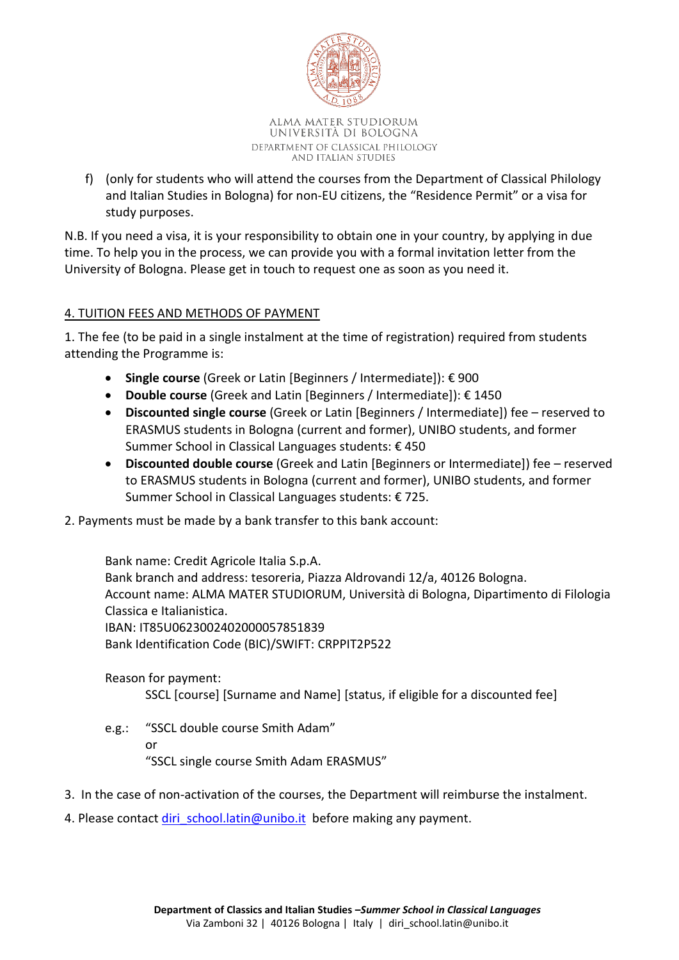

f) (only for students who will attend the courses from the Department of Classical Philology and Italian Studies in Bologna) for non-EU citizens, the "Residence Permit" or a visa for study purposes.

N.B. If you need a visa, it is your responsibility to obtain one in your country, by applying in due time. To help you in the process, we can provide you with a formal invitation letter from the University of Bologna. Please get in touch to request one as soon as you need it.

# <span id="page-2-0"></span>4. TUITION FEES AND METHODS OF PAYMENT

1. The fee (to be paid in a single instalment at the time of registration) required from students attending the Programme is:

- **Single course** (Greek or Latin [Beginners / Intermediate]): € 900
- **Double course** (Greek and Latin [Beginners / Intermediate]): € 1450
- **Discounted single course** (Greek or Latin [Beginners / Intermediate]) fee reserved to ERASMUS students in Bologna (current and former), UNIBO students, and former Summer School in Classical Languages students: € 450
- **Discounted double course** (Greek and Latin [Beginners or Intermediate]) fee reserved to ERASMUS students in Bologna (current and former), UNIBO students, and former Summer School in Classical Languages students: € 725.
- 2. Payments must be made by a bank transfer to this bank account:

Bank name: Credit Agricole Italia S.p.A. Bank branch and address: tesoreria, Piazza Aldrovandi 12/a, 40126 Bologna. Account name: ALMA MATER STUDIORUM, Università di Bologna, Dipartimento di Filologia Classica e Italianistica. IBAN: IT85U0623002402000057851839 Bank Identification Code (BIC)/SWIFT: CRPPIT2P522

Reason for payment:

SSCL [course] [Surname and Name] [status, if eligible for a discounted fee]

- e.g.: "SSCL double course Smith Adam" or "SSCL single course Smith Adam ERASMUS"
- 3. In the case of non-activation of the courses, the Department will reimburse the instalment.
- 4. Please contact [diri\\_school.latin@unibo.it](mailto:diri_school.latin@unibo.it) before making any payment.